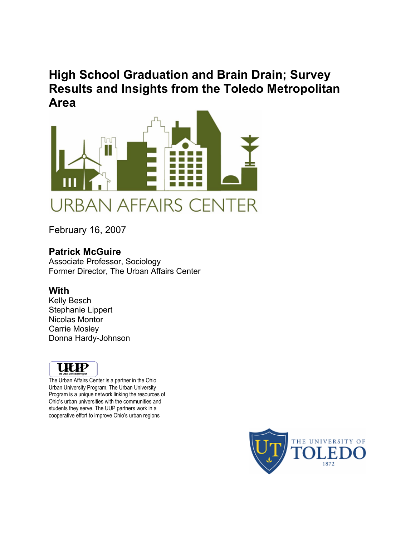# **High School Graduation and Brain Drain; Survey Results and Insights from the Toledo Metropolitan Area**



February 16, 2007

### **Patrick McGuire**

Associate Professor, Sociology Former Director, The Urban Affairs Center

### **With**

Kelly Besch Stephanie Lippert Nicolas Montor Carrie Mosley Donna Hardy-Johnson



The Urban Affairs Center is a partner in the Ohio Urban University Program. The Urban University Program is a unique network linking the resources of Ohio's urban universities with the communities and students they serve. The UUP partners work in a cooperative effort to improve Ohio's urban regions

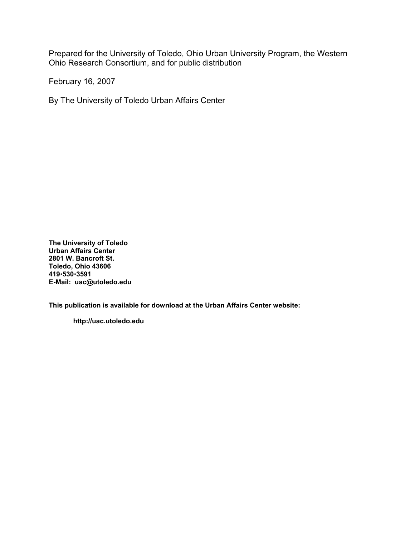Prepared for the University of Toledo, Ohio Urban University Program, the Western Ohio Research Consortium, and for public distribution

February 16, 2007

By The University of Toledo Urban Affairs Center

**The University of Toledo Urban Affairs Center 2801 W. Bancroft St. Toledo, Ohio 43606 419**x**530**x**3591 E-Mail: uac@utoledo.edu** 

**This publication is available for download at the Urban Affairs Center website:** 

 **http://uac.utoledo.edu**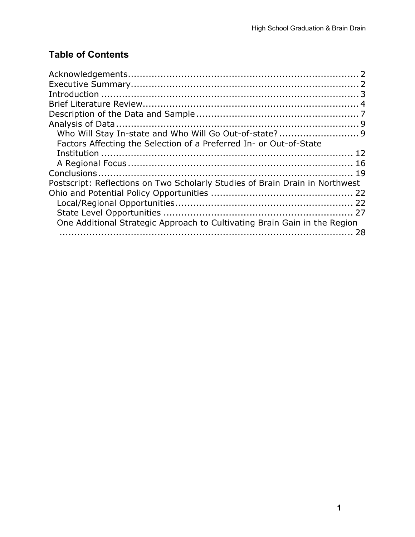# **Table of Contents**

| Factors Affecting the Selection of a Preferred In- or Out-of-State           |    |
|------------------------------------------------------------------------------|----|
|                                                                              |    |
|                                                                              |    |
|                                                                              |    |
| Postscript: Reflections on Two Scholarly Studies of Brain Drain in Northwest |    |
|                                                                              |    |
|                                                                              |    |
|                                                                              |    |
| One Additional Strategic Approach to Cultivating Brain Gain in the Region    |    |
|                                                                              | 28 |
|                                                                              |    |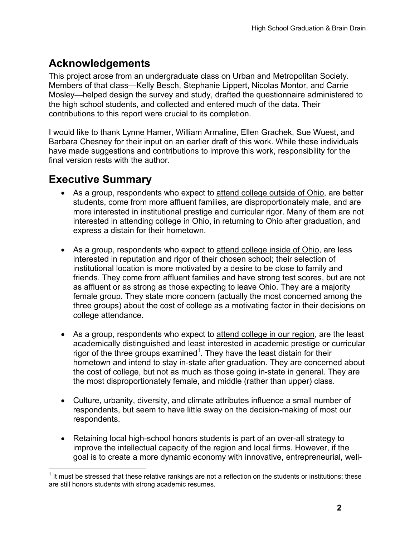# **Acknowledgements**

This project arose from an undergraduate class on Urban and Metropolitan Society. Members of that class—Kelly Besch, Stephanie Lippert, Nicolas Montor, and Carrie Mosley—helped design the survey and study, drafted the questionnaire administered to the high school students, and collected and entered much of the data. Their contributions to this report were crucial to its completion.

I would like to thank Lynne Hamer, William Armaline, Ellen Grachek, Sue Wuest, and Barbara Chesney for their input on an earlier draft of this work. While these individuals have made suggestions and contributions to improve this work, responsibility for the final version rests with the author.

## **Executive Summary**

1

- As a group, respondents who expect to attend college outside of Ohio, are better students, come from more affluent families, are disproportionately male, and are more interested in institutional prestige and curricular rigor. Many of them are not interested in attending college in Ohio, in returning to Ohio after graduation, and express a distain for their hometown.
- As a group, respondents who expect to attend college inside of Ohio, are less interested in reputation and rigor of their chosen school; their selection of institutional location is more motivated by a desire to be close to family and friends. They come from affluent families and have strong test scores, but are not as affluent or as strong as those expecting to leave Ohio. They are a majority female group. They state more concern (actually the most concerned among the three groups) about the cost of college as a motivating factor in their decisions on college attendance.
- As a group, respondents who expect to attend college in our region, are the least academically distinguished and least interested in academic prestige or curricular rigor of the three groups examined<sup>1</sup>. They have the least distain for their hometown and intend to stay in-state after graduation. They are concerned about the cost of college, but not as much as those going in-state in general. They are the most disproportionately female, and middle (rather than upper) class.
- Culture, urbanity, diversity, and climate attributes influence a small number of respondents, but seem to have little sway on the decision-making of most our respondents.
- Retaining local high-school honors students is part of an over-all strategy to improve the intellectual capacity of the region and local firms. However, if the goal is to create a more dynamic economy with innovative, entrepreneurial, well-

 $1$  It must be stressed that these relative rankings are not a reflection on the students or institutions; these are still honors students with strong academic resumes.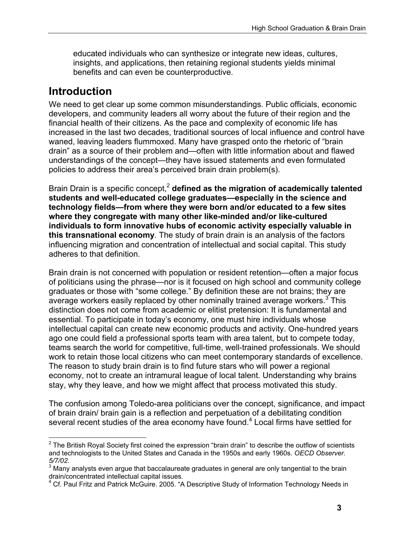educated individuals who can synthesize or integrate new ideas, cultures, insights, and applications, then retaining regional students yields minimal benefits and can even be counterproductive.

## **Introduction**

We need to get clear up some common misunderstandings. Public officials, economic developers, and community leaders all worry about the future of their region and the financial health of their citizens. As the pace and complexity of economic life has increased in the last two decades, traditional sources of local influence and control have waned, leaving leaders flummoxed. Many have grasped onto the rhetoric of "brain drain" as a source of their problem and—often with little information about and flawed understandings of the concept—they have issued statements and even formulated policies to address their area's perceived brain drain problem(s).

Brain Drain is a specific concept,<sup>2</sup> defined as the migration of academically talented **students and well-educated college graduates—especially in the science and technology fields—from where they were born and/or educated to a few sites where they congregate with many other like-minded and/or like-cultured individuals to form innovative hubs of economic activity especially valuable in this transnational economy**. The study of brain drain is an analysis of the factors influencing migration and concentration of intellectual and social capital. This study adheres to that definition.

Brain drain is not concerned with population or resident retention—often a major focus of politicians using the phrase—nor is it focused on high school and community college graduates or those with "some college." By definition these are not brains; they are average workers easily replaced by other nominally trained average workers. $3^3$  This distinction does not come from academic or elitist pretension: It is fundamental and essential. To participate in today's economy, one must hire individuals whose intellectual capital can create new economic products and activity. One-hundred years ago one could field a professional sports team with area talent, but to compete today, teams search the world for competitive, full-time, well-trained professionals. We should work to retain those local citizens who can meet contemporary standards of excellence. The reason to study brain drain is to find future stars who will power a regional economy, not to create an intramural league of local talent. Understanding why brains stay, why they leave, and how we might affect that process motivated this study.

The confusion among Toledo-area politicians over the concept, significance, and impact of brain drain/ brain gain is a reflection and perpetuation of a debilitating condition several recent studies of the area economy have found.<sup>4</sup> Local firms have settled for

 $\overline{a}$  $2$  The British Royal Society first coined the expression "brain drain" to describe the outflow of scientists and technologists to the United States and Canada in the 1950s and early 1960s. *OECD Observer.*   $5/7/02$ .

 $3$  Many analysts even argue that baccalaureate graduates in general are only tangential to the brain drain/concentrated intellectual capital issues. 4

Cf. Paul Fritz and Patrick McGuire. 2005. "A Descriptive Study of Information Technology Needs in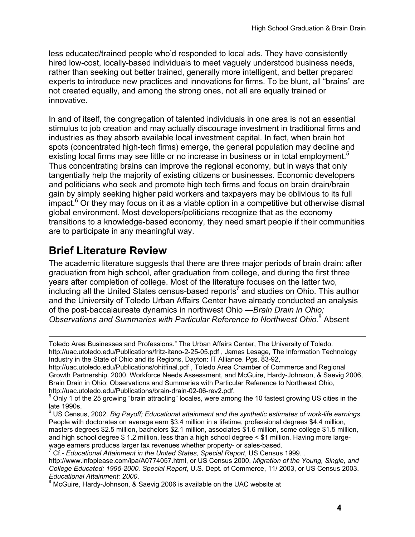less educated/trained people who'd responded to local ads. They have consistently hired low-cost, locally-based individuals to meet vaguely understood business needs, rather than seeking out better trained, generally more intelligent, and better prepared experts to introduce new practices and innovations for firms. To be blunt, all "brains" are not created equally, and among the strong ones, not all are equally trained or innovative.

In and of itself, the congregation of talented individuals in one area is not an essential stimulus to job creation and may actually discourage investment in traditional firms and industries as they absorb available local investment capital. In fact, when brain hot spots (concentrated high-tech firms) emerge, the general population may decline and existing local firms may see little or no increase in business or in total employment.<sup>5</sup> Thus concentrating brains can improve the regional economy, but in ways that only tangentially help the majority of existing citizens or businesses. Economic developers and politicians who seek and promote high tech firms and focus on brain drain/brain gain by simply seeking higher paid workers and taxpayers may be oblivious to its full impact.<sup>6</sup> Or they may focus on it as a viable option in a competitive but otherwise dismal global environment. Most developers/politicians recognize that as the economy transitions to a knowledge-based economy, they need smart people if their communities are to participate in any meaningful way.

# **Brief Literature Review**

The academic literature suggests that there are three major periods of brain drain: after graduation from high school, after graduation from college, and during the first three years after completion of college. Most of the literature focuses on the latter two,  $\frac{1}{2}$  including all the United States census-based reports<sup>7</sup> and studies on Ohio. This author and the University of Toledo Urban Affairs Center have already conducted an analysis of the post-baccalaureate dynamics in northwest Ohio —*Brain Drain in Ohio; Observations and Summaries with Particular Reference to Northwest Ohio*. 8 Absent

7 Cf.- *Educational Attainment in the United States, Special Report*, US Census 1999. .

 $\overline{a}$ Toledo Area Businesses and Professions." The Urban Affairs Center, The University of Toledo. http://uac.utoledo.edu/Publications/fritz-itano-2-25-05.pdf , James Lesage, The Information Technology Industry in the State of Ohio and its Regions, Dayton: IT Alliance. Pgs. 83-92,

http://uac.utoledo.edu/Publications/ohitfinal.pdf , Toledo Area Chamber of Commerce and Regional Growth Partnership. 2000. Workforce Needs Assessment, and McGuire, Hardy-Johnson, & Saevig 2006, Brain Drain in Ohio; Observations and Summaries with Particular Reference to Northwest Ohio, http://uac.utoledo.edu/Publications/brain-drain-02-06-rev2.pdf.

 $<sup>5</sup>$  Only 1 of the 25 growing "brain attracting" locales, were among the 10 fastest growing US cities in the</sup> late 1990s.

<sup>6</sup> US Census, 2002. *Big Payoff; Educational attainment and the synthetic estimates of work-life earnings*. People with doctorates on average earn \$3.4 million in a lifetime, professional degrees \$4.4 million, masters degrees \$2.5 million, bachelors \$2.1 million, associates \$1.6 million, some college \$1.5 million, and high school degree \$ 1.2 million, less than a high school degree < \$1 million. Having more largewage earners produces larger tax revenues whether property- or sales-based.

http://www.infoplease.com/ipa/A0774057.html, or US Census 2000, *Migration of the Young, Single, and College Educated: 1995-2000. Special Report*, U.S. Dept. of Commerce, 11/ 2003, or US Census 2003. *Educational Attainment: 2000*. 8

McGuire, Hardy-Johnson, & Saevig 2006 is available on the UAC website at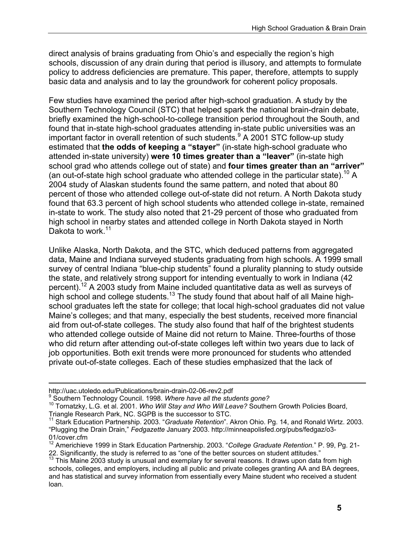direct analysis of brains graduating from Ohio's and especially the region's high schools, discussion of any drain during that period is illusory, and attempts to formulate policy to address deficiencies are premature. This paper, therefore, attempts to supply basic data and analysis and to lay the groundwork for coherent policy proposals.

Few studies have examined the period after high-school graduation. A study by the Southern Technology Council (STC) that helped spark the national brain-drain debate, briefly examined the high-school-to-college transition period throughout the South, and found that in-state high-school graduates attending in-state public universities was an important factor in overall retention of such students.<sup>9</sup> A 2001 STC follow-up study estimated that **the odds of keeping a "stayer"** (in-state high-school graduate who attended in-state university) **were 10 times greater than a "leaver"** (in-state high school grad who attends college out of state) and **four times greater than an "arriver"** (an out-of-state high school graduate who attended college in the particular state).<sup>10</sup> A 2004 study of Alaskan students found the same pattern, and noted that about 80 percent of those who attended college out-of-state did not return. A North Dakota study found that 63.3 percent of high school students who attended college in-state, remained in-state to work. The study also noted that 21-29 percent of those who graduated from high school in nearby states and attended college in North Dakota stayed in North Dakota to work.<sup>11</sup>

Unlike Alaska, North Dakota, and the STC, which deduced patterns from aggregated data, Maine and Indiana surveyed students graduating from high schools. A 1999 small survey of central Indiana "blue-chip students" found a plurality planning to study outside the state, and relatively strong support for intending eventually to work in Indiana (42 percent).12 A 2003 study from Maine included quantitative data as well as surveys of high school and college students.<sup>13</sup> The study found that about half of all Maine highschool graduates left the state for college; that local high-school graduates did not value Maine's colleges; and that many, especially the best students, received more financial aid from out-of-state colleges. The study also found that half of the brightest students who attended college outside of Maine did not return to Maine. Three-fourths of those who did return after attending out-of-state colleges left within two years due to lack of job opportunities. Both exit trends were more pronounced for students who attended private out-of-state colleges. Each of these studies emphasized that the lack of

 $\overline{a}$ 

http://uac.utoledo.edu/Publications/brain-drain-02-06-rev2.pdf

<sup>&</sup>lt;sup>9</sup> Southern Technology Council. 1998. Where have all the students gone?

<sup>&</sup>lt;sup>10</sup> Tornatzky, L.G. et al. 2001. *Who Will Stay and Who Will Leave?* Southern Growth Policies Board, Triangle Research Park, NC. SGPB is the successor to STC.

<sup>11</sup> Stark Education Partnership. 2003. "*Graduate Retention*". Akron Ohio. Pg. 14, and Ronald Wirtz. 2003. "Plugging the Drain Drain," *Fedgazette* January 2003. http://minneapolisfed.org/pubs/fedgaz/o3- 01/cover.cfm

<sup>12</sup> Americhieve 1999 in Stark Education Partnership. 2003. "*College Graduate Retention.*" P. 99, Pg. 21- 22. Significantly, the study is referred to as "one of the better sources on student attitudes."

 $13$  This Maine 2003 study is unusual and exemplary for several reasons. It draws upon data from high schools, colleges, and employers, including all public and private colleges granting AA and BA degrees, and has statistical and survey information from essentially every Maine student who received a student loan.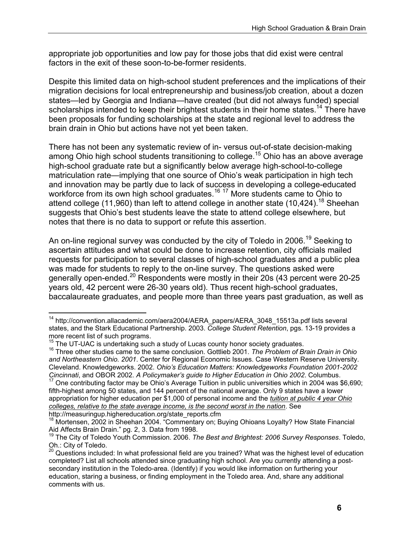appropriate job opportunities and low pay for those jobs that did exist were central factors in the exit of these soon-to-be-former residents.

Despite this limited data on high-school student preferences and the implications of their migration decisions for local entrepreneurship and business/job creation, about a dozen states—led by Georgia and Indiana—have created (but did not always funded) special scholarships intended to keep their brightest students in their home states.<sup>14</sup> There have been proposals for funding scholarships at the state and regional level to address the brain drain in Ohio but actions have not yet been taken.

There has not been any systematic review of in- versus out-of-state decision-making among Ohio high school students transitioning to college.15 Ohio has an above average high-school graduate rate but a significantly below average high-school-to-college matriculation rate—implying that one source of Ohio's weak participation in high tech and innovation may be partly due to lack of success in developing a college-educated workforce from its own high school graduates.<sup>16 17</sup> More students came to Ohio to attend college (11,960) than left to attend college in another state (10,424).<sup>18</sup> Sheehan suggests that Ohio's best students leave the state to attend college elsewhere, but notes that there is no data to support or refute this assertion.

An on-line regional survey was conducted by the city of Toledo in 2006.<sup>19</sup> Seeking to ascertain attitudes and what could be done to increase retention, city officials mailed requests for participation to several classes of high-school graduates and a public plea was made for students to reply to the on-line survey. The questions asked were generally open-ended.20 Respondents were mostly in their 20s (43 percent were 20-25 years old, 42 percent were 26-30 years old). Thus recent high-school graduates, baccalaureate graduates, and people more than three years past graduation, as well as

 $\overline{a}$ <sup>14</sup> http://convention.allacademic.com/aera2004/AERA\_papers/AERA\_3048\_15513a.pdf lists several states, and the Stark Educational Partnership. 2003. *College Student Retention*, pgs. 13-19 provides a more recent list of such programs.<br><sup>15</sup> The UT-UAC is undertaking such a study of Lucas county honor society graduates.

<sup>&</sup>lt;sup>16</sup> Three other studies came to the same conclusion. Gottlieb 2001. The Problem of Brain Drain in Ohio *and Northeastern Ohio. 2001*. Center for Regional Economic Issues. Case Western Reserve University. Cleveland. Knowledgeworks. 2002. *Ohio's Education Matters: Knowledgeworks Foundation 2001-2002 Cincinnati*, and OBOR 2002. *A Policymaker's guide to Higher Education in Ohio 2002*. Columbus.

<sup>17</sup> One contributing factor may be Ohio's Average Tuition in public universities which in 2004 was \$6,690; fifth-highest among 50 states, and 144 percent of the national average. Only 9 states have a lower appropriation for higher education per \$1,000 of personal income and the *tuition at public 4 year Ohio colleges, relative to the state average income, is the second worst in the nation*. See

 $18$  Mortensen, 2002 in Sheehan 2004. "Commentary on; Buying Ohioans Loyalty? How State Financial Aid Affects Brain Drain." pg. 2, 3. Data from 1998.

<sup>19</sup> The City of Toledo Youth Commission. 2006. *The Best and Brightest: 2006 Survey Responses*. Toledo, Oh.: City of Toledo.

<sup>20</sup> Questions included: In what professional field are you trained? What was the highest level of education completed? List all schools attended since graduating high school. Are you currently attending a postsecondary institution in the Toledo-area. (Identify) if you would like information on furthering your education, staring a business, or finding employment in the Toledo area. And, share any additional comments with us.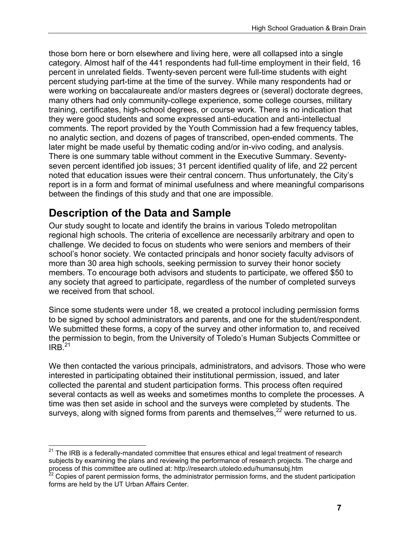those born here or born elsewhere and living here, were all collapsed into a single category. Almost half of the 441 respondents had full-time employment in their field, 16 percent in unrelated fields. Twenty-seven percent were full-time students with eight percent studying part-time at the time of the survey. While many respondents had or were working on baccalaureate and/or masters degrees or (several) doctorate degrees, many others had only community-college experience, some college courses, military training, certificates, high-school degrees, or course work. There is no indication that they were good students and some expressed anti-education and anti-intellectual comments. The report provided by the Youth Commission had a few frequency tables, no analytic section, and dozens of pages of transcribed, open-ended comments. The later might be made useful by thematic coding and/or in-vivo coding, and analysis. There is one summary table without comment in the Executive Summary. Seventyseven percent identified job issues; 31 percent identified quality of life, and 22 percent noted that education issues were their central concern. Thus unfortunately, the City's report is in a form and format of minimal usefulness and where meaningful comparisons between the findings of this study and that one are impossible.

# **Description of the Data and Sample**

Our study sought to locate and identify the brains in various Toledo metropolitan regional high schools. The criteria of excellence are necessarily arbitrary and open to challenge. We decided to focus on students who were seniors and members of their school's honor society. We contacted principals and honor society faculty advisors of more than 30 area high schools, seeking permission to survey their honor society members. To encourage both advisors and students to participate, we offered \$50 to any society that agreed to participate, regardless of the number of completed surveys we received from that school.

Since some students were under 18, we created a protocol including permission forms to be signed by school administrators and parents, and one for the student/respondent. We submitted these forms, a copy of the survey and other information to, and received the permission to begin, from the University of Toledo's Human Subjects Committee or  $IRB<sup>21</sup>$ 

We then contacted the various principals, administrators, and advisors. Those who were interested in participating obtained their institutional permission, issued, and later collected the parental and student participation forms. This process often required several contacts as well as weeks and sometimes months to complete the processes. A time was then set aside in school and the surveys were completed by students. The surveys, along with signed forms from parents and themselves,<sup>22</sup> were returned to us.

 $\overline{a}$  $21$  The IRB is a federally-mandated committee that ensures ethical and legal treatment of research subjects by examining the plans and reviewing the performance of research projects. The charge and process of this committee are outlined at: http://research.utoledo.edu/humansubj.htm

 $22$  Copies of parent permission forms, the administrator permission forms, and the student participation forms are held by the UT Urban Affairs Center.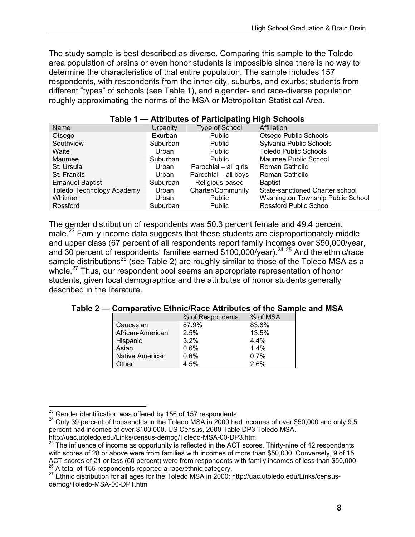The study sample is best described as diverse. Comparing this sample to the Toledo area population of brains or even honor students is impossible since there is no way to determine the characteristics of that entire population. The sample includes 157 respondents, with respondents from the inner-city, suburbs, and exurbs; students from different "types" of schools (see Table 1), and a gender- and race-diverse population roughly approximating the norms of the MSA or Metropolitan Statistical Area.

| Name                             | Urbanity | Type of School        | Affiliation                       |
|----------------------------------|----------|-----------------------|-----------------------------------|
| Otsego                           | Exurban  | <b>Public</b>         | Otsego Public Schools             |
| Southview                        | Suburban | Public                | Sylvania Public Schools           |
| Waite                            | Urban    | Public                | <b>Toledo Public Schools</b>      |
| Maumee                           | Suburban | <b>Public</b>         | Maumee Public School              |
| St. Ursula                       | Urban    | Parochial - all girls | Roman Catholic                    |
| St. Francis                      | Urban    | Parochial - all boys  | Roman Catholic                    |
| <b>Emanuel Baptist</b>           | Suburban | Religious-based       | <b>Baptist</b>                    |
| <b>Toledo Technology Academy</b> | Urban    | Charter/Community     | State-sanctioned Charter school   |
| Whitmer                          | Urban    | <b>Public</b>         | Washington Township Public School |
| Rossford                         | Suburban | <b>Public</b>         | <b>Rossford Public School</b>     |

#### **Table 1 — Attributes of Participating High Schools**

The gender distribution of respondents was 50.3 percent female and 49.4 percent male.<sup>23</sup> Family income data suggests that these students are disproportionately middle and upper class (67 percent of all respondents report family incomes over \$50,000/year, and 30 percent of respondents' families earned \$100,000/year).<sup>24 25</sup> And the ethnic/race sample distributions<sup>26</sup> (see Table 2) are roughly similar to those of the Toledo MSA as a whole.<sup>27</sup> Thus, our respondent pool seems an appropriate representation of honor students, given local demographics and the attributes of honor students generally described in the literature.

#### **Table 2 — Comparative Ethnic/Race Attributes of the Sample and MSA**

|                  | % of Respondents | % of MSA |
|------------------|------------------|----------|
| Caucasian        | 87.9%            | 83.8%    |
| African-American | 2.5%             | 13.5%    |
| Hispanic         | 3.2%             | 4.4%     |
| Asian            | 0.6%             | 1.4%     |
| Native American  | 0.6%             | 0.7%     |
| Other            | 4.5%             | 2.6%     |

<sup>&</sup>lt;sup>23</sup> Gender identification was offered by 156 of 157 respondents.

 $^{24}$  Only 39 percent of households in the Toledo MSA in 2000 had incomes of over \$50,000 and only 9.5 percent had incomes of over \$100,000. US Census, 2000 Table DP3 Toledo MSA.<br>http://uac.utoledo.edu/Links/census-demog/Toledo-MSA-00-DP3.htm

 $25$  The influence of income as opportunity is reflected in the ACT scores. Thirty-nine of 42 respondents with scores of 28 or above were from families with incomes of more than \$50,000. Conversely, 9 of 15<br>ACT scores of 21 or less (60 percent) were from respondents with family incomes of less than \$50,000.  $^{26}$  A total of 155 respondents reported a race/ethnic category.<br><sup>27</sup> Ethnic distribution for all ages for the Toledo MSA in 2000: http://uac.utoledo.edu/Links/census-

demog/Toledo-MSA-00-DP1.htm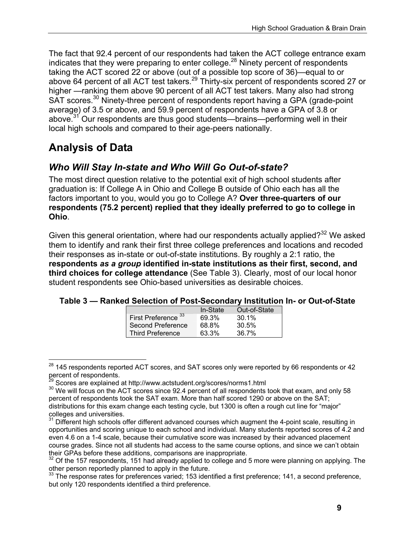The fact that 92.4 percent of our respondents had taken the ACT college entrance exam indicates that they were preparing to enter college.<sup>28</sup> Ninety percent of respondents taking the ACT scored 22 or above (out of a possible top score of 36)—equal to or above 64 percent of all ACT test takers.<sup>29</sup> Thirty-six percent of respondents scored 27 or higher —ranking them above 90 percent of all ACT test takers. Many also had strong SAT scores.<sup>30</sup> Ninety-three percent of respondents report having a GPA (grade-point average) of 3.5 or above, and 59.9 percent of respondents have a GPA of 3.8 or above.<sup>31</sup> Our respondents are thus good students—brains—performing well in their local high schools and compared to their age-peers nationally.

# **Analysis of Data**

### *Who Will Stay In-state and Who Will Go Out-of-state?*

The most direct question relative to the potential exit of high school students after graduation is: If College A in Ohio and College B outside of Ohio each has all the factors important to you, would you go to College A? **Over three-quarters of our respondents (75.2 percent) replied that they ideally preferred to go to college in Ohio**.

Given this general orientation, where had our respondents actually applied? $32$  We asked them to identify and rank their first three college preferences and locations and recoded their responses as in-state or out-of-state institutions. By roughly a 2:1 ratio, the **respondents** *as a group* **identified in-state institutions as their first, second, and third choices for college attendance** (See Table 3). Clearly, most of our local honor student respondents see Ohio-based universities as desirable choices.

|                                | In-State | Out-of-State |
|--------------------------------|----------|--------------|
| First Preference <sup>33</sup> | 69.3%    | $30.1\%$     |
| Second Preference              | 68.8%    | 30.5%        |
| <b>Third Preference</b>        | 63.3%    | 36.7%        |

| Table 3 - Ranked Selection of Post-Secondary Institution In- or Out-of-State |  |  |
|------------------------------------------------------------------------------|--|--|
|------------------------------------------------------------------------------|--|--|

 $\overline{a}$  $^{28}$  145 respondents reported ACT scores, and SAT scores only were reported by 66 respondents or 42 percent of respondents.<br><sup>29</sup> Scores are explained at http://www.actstudent.org/scores/norms1.html

<sup>&</sup>lt;sup>30</sup> We will focus on the ACT scores since 92.4 percent of all respondents took that exam, and only 58 percent of respondents took the SAT exam. More than half scored 1290 or above on the SAT; distributions for this exam change each testing cycle, but 1300 is often a rough cut line for "major" colleges and universities.

 $31$  Different high schools offer different advanced courses which augment the 4-point scale, resulting in opportunities and scoring unique to each school and individual. Many students reported scores of 4.2 and even 4.6 on a 1-4 scale, because their cumulative score was increased by their advanced placement course grades. Since not all students had access to the same course options, and since we can't obtain their GPAs before these additions, comparisons are inappropriate.

Of the 157 respondents, 151 had already applied to college and 5 more were planning on applying. The other person reportedly planned to apply in the future.

 $33$  The response rates for preferences varied; 153 identified a first preference; 141, a second preference, but only 120 respondents identified a third preference.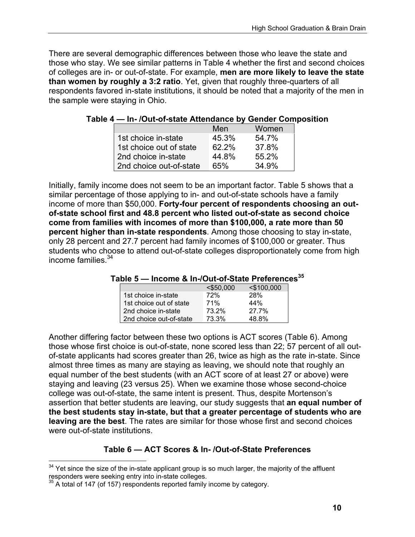There are several demographic differences between those who leave the state and those who stay. We see similar patterns in Table 4 whether the first and second choices of colleges are in- or out-of-state. For example, **men are more likely to leave the state than women by roughly a 3:2 ratio**. Yet, given that roughly three-quarters of all respondents favored in-state institutions, it should be noted that a majority of the men in the sample were staying in Ohio.

|                         | Men   | Women |
|-------------------------|-------|-------|
| 1st choice in-state     | 45.3% | 54.7% |
| 1st choice out of state | 62.2% | 37.8% |
| 2nd choice in-state     | 44.8% | 55.2% |
| 2nd choice out-of-state | 65%   | 34 9% |

**Table 4 — In- /Out-of-state Attendance by Gender Composition** 

Initially, family income does not seem to be an important factor. Table 5 shows that a similar percentage of those applying to in- and out-of-state schools have a family income of more than \$50,000. **Forty-four percent of respondents choosing an outof-state school first and 48.8 percent who listed out-of-state as second choice come from families with incomes of more than \$100,000, a rate more than 50 percent higher than in-state respondents**. Among those choosing to stay in-state, only 28 percent and 27.7 percent had family incomes of \$100,000 or greater. Thus students who choose to attend out-of-state colleges disproportionately come from high income families.<sup>34</sup>

| Table 5 - Income & In-/Out-of-State Preferences <sup>35</sup> |  |
|---------------------------------------------------------------|--|
|---------------------------------------------------------------|--|

|                         | $<$ \$50,000 | $<$ \$100,000 |
|-------------------------|--------------|---------------|
| 1st choice in-state     | 72%          | <b>28%</b>    |
| 1st choice out of state | 71%          | 44%           |
| 2nd choice in-state     | 73.2%        | 27.7%         |
| 2nd choice out-of-state | 73.3%        | 48.8%         |

Another differing factor between these two options is ACT scores (Table 6). Among those whose first choice is out-of-state, none scored less than 22; 57 percent of all outof-state applicants had scores greater than 26, twice as high as the rate in-state. Since almost three times as many are staying as leaving, we should note that roughly an equal number of the best students (with an ACT score of at least 27 or above) were staying and leaving (23 versus 25). When we examine those whose second-choice college was out-of-state, the same intent is present. Thus, despite Mortenson's assertion that better students are leaving, our study suggests that **an equal number of the best students stay in-state, but that a greater percentage of students who are leaving are the best**. The rates are similar for those whose first and second choices were out-of-state institutions.

### **Table 6 — ACT Scores & In- /Out-of-State Preferences**

 $\overline{a}$  $34$  Yet since the size of the in-state applicant group is so much larger, the majority of the affluent responders were seeking entry into in-state colleges.

A total of 147 (of 157) respondents reported family income by category.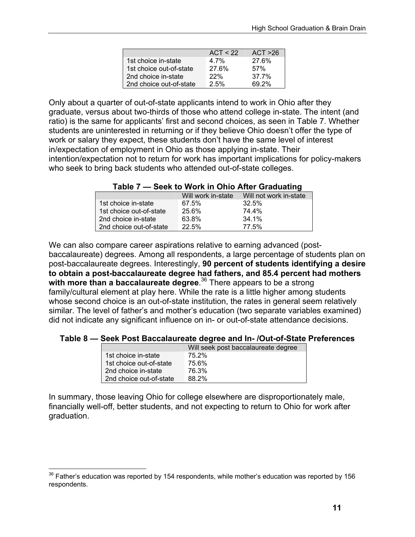|                         | ACT < 22 | ACT > 26 |
|-------------------------|----------|----------|
| 1st choice in-state     | 4.7%     | 27.6%    |
| 1st choice out-of-state | 27.6%    | 57%      |
| 2nd choice in-state     | 22%      | 37.7%    |
| 2nd choice out-of-state | 2.5%     | 69.2%    |

Only about a quarter of out-of-state applicants intend to work in Ohio after they graduate, versus about two-thirds of those who attend college in-state. The intent (and ratio) is the same for applicants' first and second choices, as seen in Table 7. Whether students are uninterested in returning or if they believe Ohio doesn't offer the type of work or salary they expect, these students don't have the same level of interest in/expectation of employment in Ohio as those applying in-state. Their intention/expectation not to return for work has important implications for policy-makers who seek to bring back students who attended out-of-state colleges.

|  |  |  |  | Table 7 — Seek to Work in Ohio After Graduating |
|--|--|--|--|-------------------------------------------------|
|--|--|--|--|-------------------------------------------------|

|                         | Will work in-state | Will not work in-state |
|-------------------------|--------------------|------------------------|
| 1st choice in-state     | 67.5%              | $32.5\%$               |
| 1st choice out-of-state | 25.6%              | 74.4%                  |
| 2nd choice in-state     | 63.8%              | $34.1\%$               |
| 2nd choice out-of-state | 22.5%              | 77.5%                  |

We can also compare career aspirations relative to earning advanced (postbaccalaureate) degrees. Among all respondents, a large percentage of students plan on post-baccalaureate degrees. Interestingly, **90 percent of students identifying a desire to obtain a post-baccalaureate degree had fathers, and 85.4 percent had mothers with more than a baccalaureate degree**. 36 There appears to be a strong family/cultural element at play here. While the rate is a little higher among students whose second choice is an out-of-state institution, the rates in general seem relatively similar. The level of father's and mother's education (two separate variables examined) did not indicate any significant influence on in- or out-of-state attendance decisions.

#### **Table 8 — Seek Post Baccalaureate degree and In- /Out-of-State Preferences**

| Will seek post baccalaureate degree |
|-------------------------------------|
| 75.2%                               |
| 75.6%                               |
| 76.3%                               |
| 88.2%                               |
|                                     |

In summary, those leaving Ohio for college elsewhere are disproportionately male, financially well-off, better students, and not expecting to return to Ohio for work after graduation.

 $\overline{a}$ 

 $36$  Father's education was reported by 154 respondents, while mother's education was reported by 156 respondents.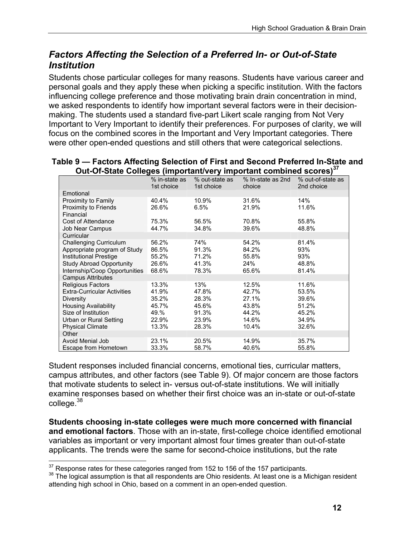### *Factors Affecting the Selection of a Preferred In- or Out-of-State Institution*

Students chose particular colleges for many reasons. Students have various career and personal goals and they apply these when picking a specific institution. With the factors influencing college preference and those motivating brain drain concentration in mind, we asked respondents to identify how important several factors were in their decisionmaking. The students used a standard five-part Likert scale ranging from Not Very Important to Very Important to identify their preferences. For purposes of clarity, we will focus on the combined scores in the Important and Very Important categories. There were other open-ended questions and still others that were categorical selections.

| Out-Of-State Colleges (important/very important combined scores) |                             |                              |                             |                                 |
|------------------------------------------------------------------|-----------------------------|------------------------------|-----------------------------|---------------------------------|
|                                                                  | % in-state as<br>1st choice | % out-state as<br>1st choice | % In-state as 2nd<br>choice | % out-of-state as<br>2nd choice |
| Emotional                                                        |                             |                              |                             |                                 |
| Proximity to Family                                              | 40.4%                       | 10.9%                        | 31.6%                       | 14%                             |
| Proximity to Friends                                             | 26.6%                       | 6.5%                         | 21.9%                       | 11.6%                           |
| Financial                                                        |                             |                              |                             |                                 |
| Cost of Attendance                                               | 75.3%                       | 56.5%                        | 70.8%                       | 55.8%                           |
| Job Near Campus                                                  | 44.7%                       | 34.8%                        | 39.6%                       | 48.8%                           |
| Curricular                                                       |                             |                              |                             |                                 |
| <b>Challenging Curriculum</b>                                    | 56.2%                       | 74%                          | 54.2%                       | 81.4%                           |
| Appropriate program of Study                                     | 86.5%                       | 91.3%                        | 84.2%                       | 93%                             |
| <b>Institutional Prestige</b>                                    | 55.2%                       | 71.2%                        | 55.8%                       | 93%                             |
| <b>Study Abroad Opportunity</b>                                  | 26.6%                       | 41.3%                        | 24%                         | 48.8%                           |
| Internship/Coop Opportunities                                    | 68.6%                       | 78.3%                        | 65.6%                       | 81.4%                           |
| <b>Campus Attributes</b>                                         |                             |                              |                             |                                 |
| <b>Religious Factors</b>                                         | 13.3%                       | 13%                          | 12.5%                       | 11.6%                           |
| <b>Extra-Curricular Activities</b>                               | 41.9%                       | 47.8%                        | 42.7%                       | 53.5%                           |
| <b>Diversity</b>                                                 | 35.2%                       | 28.3%                        | 27.1%                       | 39.6%                           |
| <b>Housing Availability</b>                                      | 45.7%                       | 45.6%                        | 43.8%                       | 51.2%                           |
| Size of Institution                                              | 49.%                        | 91.3%                        | 44.2%                       | 45.2%                           |
| Urban or Rural Setting                                           | 22.9%                       | 23.9%                        | 14.6%                       | 34.9%                           |
| <b>Physical Climate</b>                                          | 13.3%                       | 28.3%                        | 10.4%                       | 32.6%                           |
| Other                                                            |                             |                              |                             |                                 |
| Avoid Menial Job                                                 | 23.1%                       | 20.5%                        | 14.9%                       | 35.7%                           |
| Escape from Hometown                                             | 33.3%                       | 58.7%                        | 40.6%                       | 55.8%                           |

#### **Table 9 — Factors Affecting Selection of First and Second Preferred In-State and Out-Of-State Colleges (important/very important combined scores)**<sup>37</sup>

Student responses included financial concerns, emotional ties, curricular matters, campus attributes, and other factors (see Table 9). Of major concern are those factors that motivate students to select in- versus out-of-state institutions. We will initially examine responses based on whether their first choice was an in-state or out-of-state college.<sup>38</sup>

**Students choosing in-state colleges were much more concerned with financial and emotional factors**. Those with an in-state, first-college choice identified emotional variables as important or very important almost four times greater than out-of-state applicants. The trends were the same for second-choice institutions, but the rate

 $\overline{a}$ 

 $37$  Response rates for these categories ranged from 152 to 156 of the 157 participants.<br> $38$  The logical assumption is that all respondents are Ohio residents. At least one is a Michigan resident attending high school in Ohio, based on a comment in an open-ended question.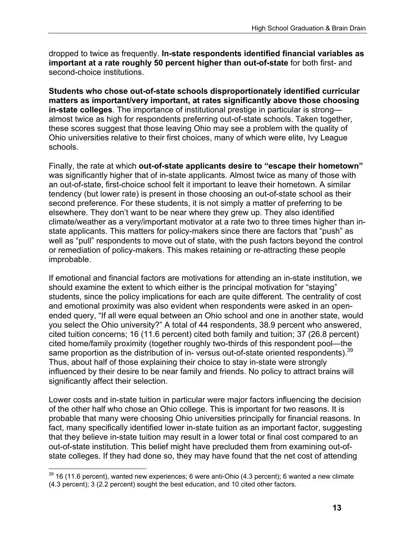dropped to twice as frequently. **In-state respondents identified financial variables as important at a rate roughly 50 percent higher than out-of-state** for both first- and second-choice institutions.

**Students who chose out-of-state schools disproportionately identified curricular matters as important/very important, at rates significantly above those choosing in-state colleges**. The importance of institutional prestige in particular is strong almost twice as high for respondents preferring out-of-state schools. Taken together, these scores suggest that those leaving Ohio may see a problem with the quality of Ohio universities relative to their first choices, many of which were elite, Ivy League schools.

Finally, the rate at which **out-of-state applicants desire to "escape their hometown"** was significantly higher that of in-state applicants. Almost twice as many of those with an out-of-state, first-choice school felt it important to leave their hometown. A similar tendency (but lower rate) is present in those choosing an out-of-state school as their second preference. For these students, it is not simply a matter of preferring to be elsewhere. They don't want to be near where they grew up. They also identified climate/weather as a very/important motivator at a rate two to three times higher than instate applicants. This matters for policy-makers since there are factors that "push" as well as "pull" respondents to move out of state, with the push factors beyond the control or remediation of policy-makers. This makes retaining or re-attracting these people improbable.

If emotional and financial factors are motivations for attending an in-state institution, we should examine the extent to which either is the principal motivation for "staying" students, since the policy implications for each are quite different. The centrality of cost and emotional proximity was also evident when respondents were asked in an openended query, "If all were equal between an Ohio school and one in another state, would you select the Ohio university?" A total of 44 respondents, 38.9 percent who answered, cited tuition concerns; 16 (11.6 percent) cited both family and tuition; 37 (26.8 percent) cited home/family proximity (together roughly two-thirds of this respondent pool—the same proportion as the distribution of in- versus out-of-state oriented respondents).<sup>39</sup> Thus, about half of those explaining their choice to stay in-state were strongly influenced by their desire to be near family and friends. No policy to attract brains will significantly affect their selection.

Lower costs and in-state tuition in particular were major factors influencing the decision of the other half who chose an Ohio college. This is important for two reasons. It is probable that many were choosing Ohio universities principally for financial reasons. In fact, many specifically identified lower in-state tuition as an important factor, suggesting that they believe in-state tuition may result in a lower total or final cost compared to an out-of-state institution. This belief might have precluded them from examining out-ofstate colleges. If they had done so, they may have found that the net cost of attending

 $\overline{a}$ 

 $39$  16 (11.6 percent), wanted new experiences; 6 were anti-Ohio (4.3 percent); 6 wanted a new climate (4.3 percent); 3 (2.2 percent) sought the best education, and 10 cited other factors.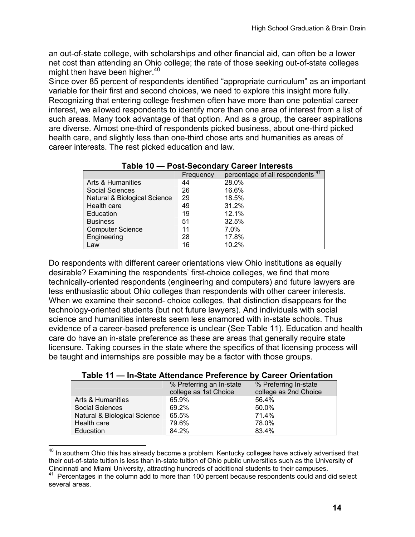an out-of-state college, with scholarships and other financial aid, can often be a lower net cost than attending an Ohio college; the rate of those seeking out-of-state colleges might then have been higher.<sup>40</sup>

Since over 85 percent of respondents identified "appropriate curriculum" as an important variable for their first and second choices, we need to explore this insight more fully. Recognizing that entering college freshmen often have more than one potential career interest, we allowed respondents to identify more than one area of interest from a list of such areas. Many took advantage of that option. And as a group, the career aspirations are diverse. Almost one-third of respondents picked business, about one-third picked health care, and slightly less than one-third chose arts and humanities as areas of career interests. The rest picked education and law.

|                              | Frequency | percentage of all respondents <sup>41</sup> |  |
|------------------------------|-----------|---------------------------------------------|--|
| Arts & Humanities            | 44        | 28.0%                                       |  |
| <b>Social Sciences</b>       | 26        | 16.6%                                       |  |
| Natural & Biological Science | 29        | 18.5%                                       |  |
| Health care                  | 49        | 31.2%                                       |  |
| Education                    | 19        | 12.1%                                       |  |
| <b>Business</b>              | 51        | 32.5%                                       |  |
| <b>Computer Science</b>      | 11        | 7.0%                                        |  |
| Engineering                  | 28        | 17.8%                                       |  |
| Law                          | 16        | 10.2%                                       |  |

### **Table 10 — Post-Secondary Career Interests**

Do respondents with different career orientations view Ohio institutions as equally desirable? Examining the respondents' first-choice colleges, we find that more technically-oriented respondents (engineering and computers) and future lawyers are less enthusiastic about Ohio colleges than respondents with other career interests. When we examine their second- choice colleges, that distinction disappears for the technology-oriented students (but not future lawyers). And individuals with social science and humanities interests seem less enamored with in-state schools. Thus evidence of a career-based preference is unclear (See Table 11). Education and health care do have an in-state preference as these are areas that generally require state licensure. Taking courses in the state where the specifics of that licensing process will be taught and internships are possible may be a factor with those groups.

| Table 11 - In-State Attendance Preference by Career Orientation |  |
|-----------------------------------------------------------------|--|
|-----------------------------------------------------------------|--|

|                              | % Preferring an In-state<br>college as 1st Choice | % Preferring In-state<br>college as 2nd Choice |
|------------------------------|---------------------------------------------------|------------------------------------------------|
| Arts & Humanities            | 65.9%                                             | 56.4%                                          |
| <b>Social Sciences</b>       | 69.2%                                             | 50.0%                                          |
| Natural & Biological Science | 65.5%                                             | 71.4%                                          |
| Health care                  | 79.6%                                             | 78.0%                                          |
| Education                    | 84.2%                                             | 83.4%                                          |

 $\overline{a}$  $40$  In southern Ohio this has already become a problem. Kentucky colleges have actively advertised that their out-of-state tuition is less than in-state tuition of Ohio public universities such as the University of Cincinnati and Miami University, attracting hundreds of additional students to their campuses.

 $41$  Percentages in the column add to more than 100 percent because respondents could and did select several areas.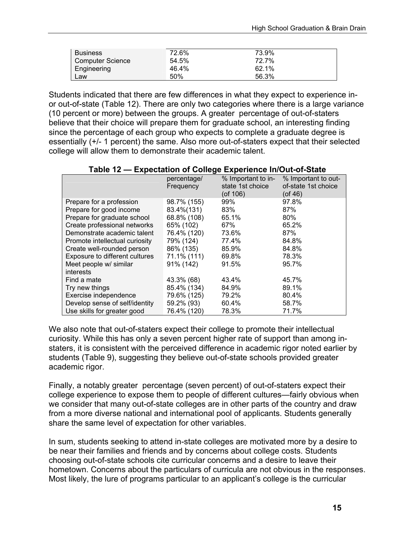| Business                | 72.6% | 73.9% |  |
|-------------------------|-------|-------|--|
| <b>Computer Science</b> | 54.5% | 72.7% |  |
| Engineering             | 46.4% | 62.1% |  |
| Law                     | 50%   | 56.3% |  |

Students indicated that there are few differences in what they expect to experience inor out-of-state (Table 12). There are only two categories where there is a large variance (10 percent or more) between the groups. A greater percentage of out-of-staters believe that their choice will prepare them for graduate school, an interesting finding since the percentage of each group who expects to complete a graduate degree is essentially (+/- 1 percent) the same. Also more out-of-staters expect that their selected college will allow them to demonstrate their academic talent.

| Table 12 — Expectation of Conege Experience in/Out-of-State |             |                    |                     |  |
|-------------------------------------------------------------|-------------|--------------------|---------------------|--|
|                                                             | percentage/ | % Important to in- | % Important to out- |  |
|                                                             | Frequency   | state 1st choice   | of-state 1st choice |  |
|                                                             |             | $($ of 106 $)$     | (of 46)             |  |
| Prepare for a profession                                    | 98.7% (155) | 99%                | 97.8%               |  |
| Prepare for good income                                     | 83.4%(131)  | 83%                | 87%                 |  |
| Prepare for graduate school                                 | 68.8% (108) | 65.1%              | 80%                 |  |
| Create professional networks                                | 65% (102)   | 67%                | 65.2%               |  |
| Demonstrate academic talent                                 | 76.4% (120) | 73.6%              | 87%                 |  |
| Promote intellectual curiosity                              | 79% (124)   | 77.4%              | 84.8%               |  |
| Create well-rounded person                                  | 86% (135)   | 85.9%              | 84.8%               |  |
| Exposure to different cultures                              | 71.1% (111) | 69.8%              | 78.3%               |  |
| Meet people w/ similar                                      | 91% (142)   | 91.5%              | 95.7%               |  |
| interests                                                   |             |                    |                     |  |
| Find a mate                                                 | 43.3% (68)  | 43.4%              | 45.7%               |  |
| Try new things                                              | 85.4% (134) | 84.9%              | 89.1%               |  |
| Exercise independence                                       | 79.6% (125) | 79.2%              | 80.4%               |  |
| Develop sense of self/identity                              | 59.2% (93)  | 60.4%              | 58.7%               |  |
| Use skills for greater good                                 | 76.4% (120) | 78.3%              | 71.7%               |  |

#### **Table 12 — Expectation of College Experience In/Out-of-State**

We also note that out-of-staters expect their college to promote their intellectual curiosity. While this has only a seven percent higher rate of support than among instaters, it is consistent with the perceived difference in academic rigor noted earlier by students (Table 9), suggesting they believe out-of-state schools provided greater academic rigor.

Finally, a notably greater percentage (seven percent) of out-of-staters expect their college experience to expose them to people of different cultures—fairly obvious when we consider that many out-of-state colleges are in other parts of the country and draw from a more diverse national and international pool of applicants. Students generally share the same level of expectation for other variables.

In sum, students seeking to attend in-state colleges are motivated more by a desire to be near their families and friends and by concerns about college costs. Students choosing out-of-state schools cite curricular concerns and a desire to leave their hometown. Concerns about the particulars of curricula are not obvious in the responses. Most likely, the lure of programs particular to an applicant's college is the curricular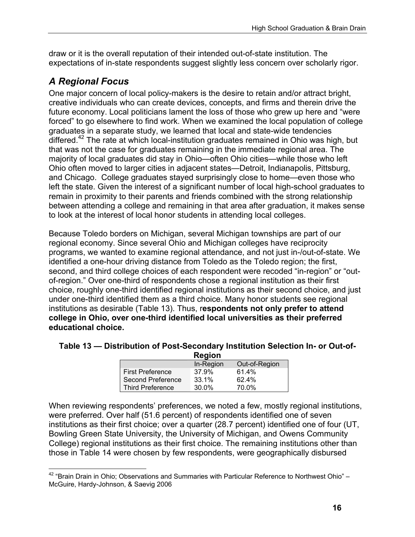draw or it is the overall reputation of their intended out-of-state institution. The expectations of in-state respondents suggest slightly less concern over scholarly rigor.

### *A Regional Focus*

 $\overline{a}$ 

One major concern of local policy-makers is the desire to retain and/or attract bright, creative individuals who can create devices, concepts, and firms and therein drive the future economy. Local politicians lament the loss of those who grew up here and "were forced" to go elsewhere to find work. When we examined the local population of college graduates in a separate study, we learned that local and state-wide tendencies differed.<sup>42</sup> The rate at which local-institution graduates remained in Ohio was high, but that was not the case for graduates remaining in the immediate regional area. The majority of local graduates did stay in Ohio—often Ohio cities—while those who left Ohio often moved to larger cities in adjacent states—Detroit, Indianapolis, Pittsburg, and Chicago. College graduates stayed surprisingly close to home—even those who left the state. Given the interest of a significant number of local high-school graduates to remain in proximity to their parents and friends combined with the strong relationship between attending a college and remaining in that area after graduation, it makes sense to look at the interest of local honor students in attending local colleges.

Because Toledo borders on Michigan, several Michigan townships are part of our regional economy. Since several Ohio and Michigan colleges have reciprocity programs, we wanted to examine regional attendance, and not just in-/out-of-state. We identified a one-hour driving distance from Toledo as the Toledo region; the first, second, and third college choices of each respondent were recoded "in-region" or "outof-region." Over one-third of respondents chose a regional institution as their first choice, roughly one-third identified regional institutions as their second choice, and just under one-third identified them as a third choice. Many honor students see regional institutions as desirable (Table 13). Thus, r**espondents not only prefer to attend college in Ohio, over one-third identified local universities as their preferred educational choice.** 

#### **Table 13 — Distribution of Post-Secondary Institution Selection In- or Out-of-Region**

|                         | negiuli   |               |
|-------------------------|-----------|---------------|
|                         | In-Region | Out-of-Region |
| <b>First Preference</b> | 37.9%     | 61.4%         |
| Second Preference       | 33.1%     | 62.4%         |
| <b>Third Preference</b> | 30.0%     | 70.0%         |

When reviewing respondents' preferences, we noted a few, mostly regional institutions, were preferred. Over half (51.6 percent) of respondents identified one of seven institutions as their first choice; over a quarter (28.7 percent) identified one of four (UT, Bowling Green State University, the University of Michigan, and Owens Community College) regional institutions as their first choice. The remaining institutions other than those in Table 14 were chosen by few respondents, were geographically disbursed

 $42$  "Brain Drain in Ohio; Observations and Summaries with Particular Reference to Northwest Ohio" – McGuire, Hardy-Johnson, & Saevig 2006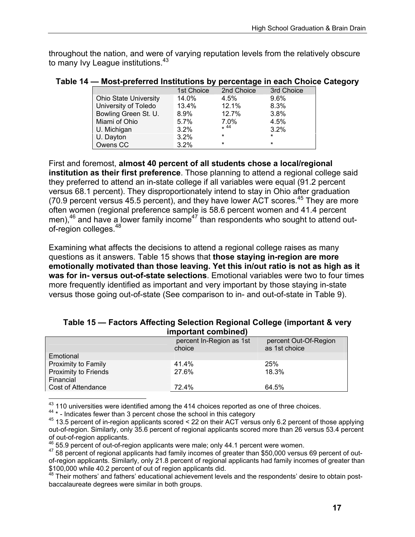throughout the nation, and were of varying reputation levels from the relatively obscure to many Ivy League institutions.<sup>43</sup>

|  | Table 14 - Most-preferred Institutions by percentage in each Choice Category |  |  |  |  |
|--|------------------------------------------------------------------------------|--|--|--|--|
|--|------------------------------------------------------------------------------|--|--|--|--|

|                              | 1st Choice | 2nd Choice | 3rd Choice |
|------------------------------|------------|------------|------------|
| <b>Ohio State University</b> | 14.0%      | $4.5\%$    | 9.6%       |
| University of Toledo         | 13.4%      | 12.1%      | 8.3%       |
| Bowling Green St. U.         | 8.9%       | 12.7%      | 3.8%       |
| Miami of Ohio                | 5.7%       | 7.0%       | 4.5%       |
| U. Michigan                  | $3.2\%$    | $*$ 44     | 3.2%       |
| U. Dayton                    | $3.2\%$    | $\star$    | $\star$    |
| Owens CC                     | $3.2\%$    | $\star$    | $\star$    |

First and foremost, **almost 40 percent of all students chose a local/regional institution as their first preference**. Those planning to attend a regional college said they preferred to attend an in-state college if all variables were equal (91.2 percent versus 68.1 percent). They disproportionately intend to stay in Ohio after graduation (70.9 percent versus 45.5 percent), and they have lower ACT scores.45 They are more often women (regional preference sample is 58.6 percent women and 41.4 percent men), $46$  and have a lower family income<sup>47</sup> than respondents who sought to attend outof-region colleges.<sup>48</sup>

Examining what affects the decisions to attend a regional college raises as many questions as it answers. Table 15 shows that **those staying in-region are more emotionally motivated than those leaving. Yet this in/out ratio is not as high as it was for in- versus out-of-state selections**. Emotional variables were two to four times more frequently identified as important and very important by those staying in-state versus those going out-of-state (See comparison to in- and out-of-state in Table 9).

#### **Table 15 — Factors Affecting Selection Regional College (important & very important combined)**

|                                   | percent In-Region as 1st<br>choice | percent Out-Of-Region<br>as 1st choice |  |  |
|-----------------------------------|------------------------------------|----------------------------------------|--|--|
| Emotional                         |                                    |                                        |  |  |
| Proximity to Family               | 41.4%                              | 25%                                    |  |  |
| Proximity to Friends<br>Financial | 27.6%                              | 18.3%                                  |  |  |
| Cost of Attendance                | 72.4%                              | 64.5%                                  |  |  |
|                                   |                                    |                                        |  |  |
|                                   |                                    |                                        |  |  |

47 58 percent of regional applicants had family incomes of greater than \$50,000 versus 69 percent of outof-region applicants. Similarly, only 21.8 percent of regional applicants had family incomes of greater than \$100,000 while 40.2 percent of out of region applicants did.<br><sup>48</sup> Their mothers' and fathers' educational achievement levels and the respondents' desire to obtain post-

baccalaureate degrees were similar in both groups.

<sup>&</sup>lt;sup>43</sup> 110 universities were identified among the 414 choices reported as one of three choices.<br><sup>44</sup> \* - Indicates fewer than 3 percent chose the school in this category<br><sup>45</sup> 13.5 percent of in-region applicants scored < 22 out-of-region. Similarly, only 35.6 percent of regional applicants scored more than 26 versus 53.4 percent of out-of-region applicants.<br><sup>46</sup> 55.9 percent of out-of-region applicants were male; only 44.1 percent were women.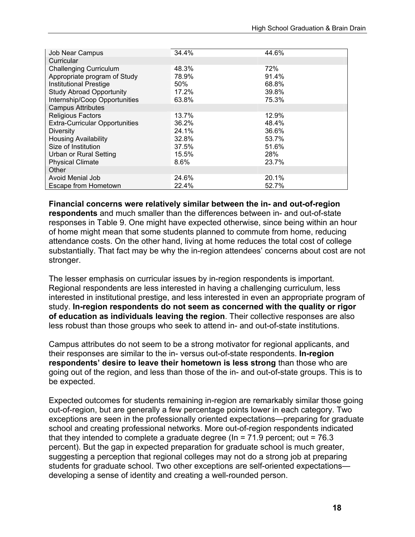| Job Near Campus                       | 34.4% | 44.6% |
|---------------------------------------|-------|-------|
| Curricular                            |       |       |
| <b>Challenging Curriculum</b>         | 48.3% | 72%   |
| Appropriate program of Study          | 78.9% | 91.4% |
| <b>Institutional Prestige</b>         | 50%   | 68.8% |
| <b>Study Abroad Opportunity</b>       | 17.2% | 39.8% |
| Internship/Coop Opportunities         | 63.8% | 75.3% |
| <b>Campus Attributes</b>              |       |       |
| <b>Religious Factors</b>              | 13.7% | 12.9% |
| <b>Extra-Curricular Opportunities</b> | 36.2% | 48.4% |
| <b>Diversity</b>                      | 24.1% | 36.6% |
| <b>Housing Availability</b>           | 32.8% | 53.7% |
| Size of Institution                   | 37.5% | 51.6% |
| Urban or Rural Setting                | 15.5% | 28%   |
| <b>Physical Climate</b>               | 8.6%  | 23.7% |
| Other                                 |       |       |
| Avoid Menial Job                      | 24.6% | 20.1% |
| Escape from Hometown                  | 22.4% | 52.7% |

**Financial concerns were relatively similar between the in- and out-of-region respondents** and much smaller than the differences between in- and out-of-state responses in Table 9. One might have expected otherwise, since being within an hour of home might mean that some students planned to commute from home, reducing attendance costs. On the other hand, living at home reduces the total cost of college substantially. That fact may be why the in-region attendees' concerns about cost are not stronger.

The lesser emphasis on curricular issues by in-region respondents is important. Regional respondents are less interested in having a challenging curriculum, less interested in institutional prestige, and less interested in even an appropriate program of study. **In-region respondents do not seem as concerned with the quality or rigor of education as individuals leaving the region**. Their collective responses are also less robust than those groups who seek to attend in- and out-of-state institutions.

Campus attributes do not seem to be a strong motivator for regional applicants, and their responses are similar to the in- versus out-of-state respondents. **In-region respondents' desire to leave their hometown is less strong** than those who are going out of the region, and less than those of the in- and out-of-state groups. This is to be expected.

Expected outcomes for students remaining in-region are remarkably similar those going out-of-region, but are generally a few percentage points lower in each category. Two exceptions are seen in the professionally oriented expectations—preparing for graduate school and creating professional networks. More out-of-region respondents indicated that they intended to complete a graduate degree ( $\ln$  = 71.9 percent; out = 76.3 percent). But the gap in expected preparation for graduate school is much greater, suggesting a perception that regional colleges may not do a strong job at preparing students for graduate school. Two other exceptions are self-oriented expectations developing a sense of identity and creating a well-rounded person.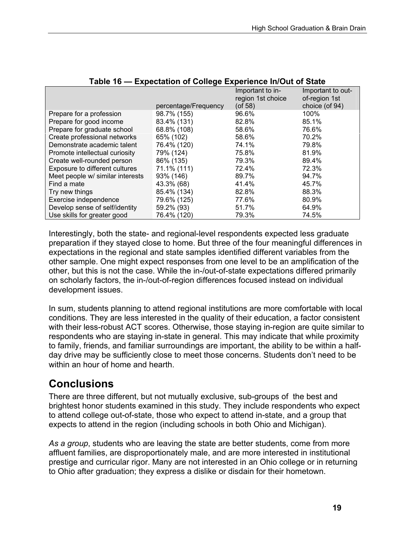|                                  |                      | Important to in-<br>region 1st choice | Important to out-<br>of-region 1st |
|----------------------------------|----------------------|---------------------------------------|------------------------------------|
|                                  | percentage/Frequency | $($ of 58 $)$                         | choice (of 94)                     |
| Prepare for a profession         | 98.7% (155)          | 96.6%                                 | 100%                               |
| Prepare for good income          | 83.4% (131)          | 82.8%                                 | 85.1%                              |
| Prepare for graduate school      | 68.8% (108)          | 58.6%                                 | 76.6%                              |
| Create professional networks     | 65% (102)            | 58.6%                                 | 70.2%                              |
| Demonstrate academic talent      | 76.4% (120)          | 74.1%                                 | 79.8%                              |
| Promote intellectual curiosity   | 79% (124)            | 75.8%                                 | 81.9%                              |
| Create well-rounded person       | 86% (135)            | 79.3%                                 | 89.4%                              |
| Exposure to different cultures   | 71.1% (111)          | 72.4%                                 | 72.3%                              |
| Meet people w/ similar interests | 93% (146)            | 89.7%                                 | 94.7%                              |
| Find a mate                      | 43.3% (68)           | 41.4%                                 | 45.7%                              |
| Try new things                   | 85.4% (134)          | 82.8%                                 | 88.3%                              |
| Exercise independence            | 79.6% (125)          | 77.6%                                 | 80.9%                              |
| Develop sense of self/identity   | 59.2% (93)           | 51.7%                                 | 64.9%                              |
| Use skills for greater good      | 76.4% (120)          | 79.3%                                 | 74.5%                              |

#### **Table 16 — Expectation of College Experience In/Out of State**

Interestingly, both the state- and regional-level respondents expected less graduate preparation if they stayed close to home. But three of the four meaningful differences in expectations in the regional and state samples identified different variables from the other sample. One might expect responses from one level to be an amplification of the other, but this is not the case. While the in-/out-of-state expectations differed primarily on scholarly factors, the in-/out-of-region differences focused instead on individual development issues.

In sum, students planning to attend regional institutions are more comfortable with local conditions. They are less interested in the quality of their education, a factor consistent with their less-robust ACT scores. Otherwise, those staying in-region are quite similar to respondents who are staying in-state in general. This may indicate that while proximity to family, friends, and familiar surroundings are important, the ability to be within a halfday drive may be sufficiently close to meet those concerns. Students don't need to be within an hour of home and hearth.

## **Conclusions**

There are three different, but not mutually exclusive, sub-groups of the best and brightest honor students examined in this study. They include respondents who expect to attend college out-of-state, those who expect to attend in-state, and a group that expects to attend in the region (including schools in both Ohio and Michigan).

*As a group*, students who are leaving the state are better students, come from more affluent families, are disproportionately male, and are more interested in institutional prestige and curricular rigor. Many are not interested in an Ohio college or in returning to Ohio after graduation; they express a dislike or disdain for their hometown.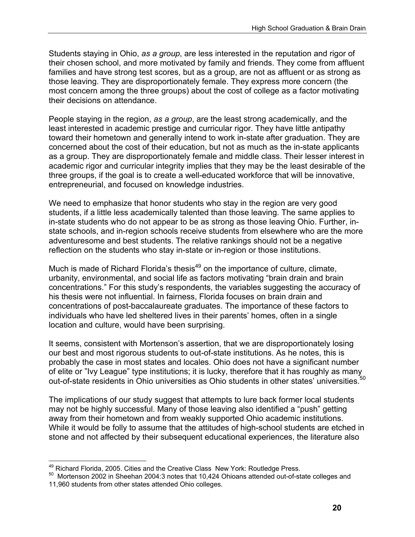Students staying in Ohio, *as a group*, are less interested in the reputation and rigor of their chosen school, and more motivated by family and friends. They come from affluent families and have strong test scores, but as a group, are not as affluent or as strong as those leaving. They are disproportionately female. They express more concern (the most concern among the three groups) about the cost of college as a factor motivating their decisions on attendance.

People staying in the region, *as a group*, are the least strong academically, and the least interested in academic prestige and curricular rigor. They have little antipathy toward their hometown and generally intend to work in-state after graduation. They are concerned about the cost of their education, but not as much as the in-state applicants as a group. They are disproportionately female and middle class. Their lesser interest in academic rigor and curricular integrity implies that they may be the least desirable of the three groups, if the goal is to create a well-educated workforce that will be innovative, entrepreneurial, and focused on knowledge industries.

We need to emphasize that honor students who stay in the region are very good students, if a little less academically talented than those leaving. The same applies to in-state students who do not appear to be as strong as those leaving Ohio. Further, instate schools, and in-region schools receive students from elsewhere who are the more adventuresome and best students. The relative rankings should not be a negative reflection on the students who stay in-state or in-region or those institutions.

Much is made of Richard Florida's thesis<sup>49</sup> on the importance of culture, climate, urbanity, environmental, and social life as factors motivating "brain drain and brain concentrations." For this study's respondents, the variables suggesting the accuracy of his thesis were not influential. In fairness, Florida focuses on brain drain and concentrations of post-baccalaureate graduates. The importance of these factors to individuals who have led sheltered lives in their parents' homes, often in a single location and culture, would have been surprising.

It seems, consistent with Mortenson's assertion, that we are disproportionately losing our best and most rigorous students to out-of-state institutions. As he notes, this is probably the case in most states and locales. Ohio does not have a significant number probably the case in most states and receiver sine is a construction of elite or "Ivy League" type institutions; it is lucky, therefore that it has roughly as many out-of-state residents in Ohio universities as Ohio students in other states' universities.<sup>5</sup>

The implications of our study suggest that attempts to lure back former local students may not be highly successful. Many of those leaving also identified a "push" getting away from their hometown and from weakly supported Ohio academic institutions. While it would be folly to assume that the attitudes of high-school students are etched in stone and not affected by their subsequent educational experiences, the literature also

<sup>1</sup> 

<sup>&</sup>lt;sup>49</sup> Richard Florida, 2005. Cities and the Creative Class New York: Routledge Press.<br><sup>50</sup> Mortenson 2002 in Sheehan 2004:3 notes that 10,424 Ohioans attended out-of-state colleges and 11,960 students from other states attended Ohio colleges.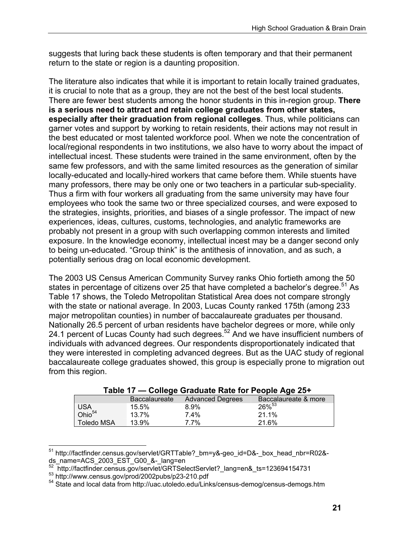suggests that luring back these students is often temporary and that their permanent return to the state or region is a daunting proposition.

The literature also indicates that while it is important to retain locally trained graduates, it is crucial to note that as a group, they are not the best of the best local students. There are fewer best students among the honor students in this in-region group. **There is a serious need to attract and retain college graduates from other states, especially after their graduation from regional colleges**. Thus, while politicians can garner votes and support by working to retain residents, their actions may not result in the best educated or most talented workforce pool. When we note the concentration of local/regional respondents in two institutions, we also have to worry about the impact of intellectual incest. These students were trained in the same environment, often by the same few professors, and with the same limited resources as the generation of similar locally-educated and locally-hired workers that came before them. While stuents have many professors, there may be only one or two teachers in a particular sub-speciality. Thus a firm with four workers all graduating from the same university may have four employees who took the same two or three specialized courses, and were exposed to the strategies, insights, priorities, and biases of a single professor. The impact of new experiences, ideas, cultures, customs, technologies, and analytic frameworks are probably not present in a group with such overlapping common interests and limited exposure. In the knowledge economy, intellectual incest may be a danger second only to being un-educated. "Group think" is the antithesis of innovation, and as such, a potentially serious drag on local economic development.

The 2003 US Census American Community Survey ranks Ohio fortieth among the 50 states in percentage of citizens over 25 that have completed a bachelor's degree.<sup>51</sup> As Table 17 shows, the Toledo Metropolitan Statistical Area does not compare strongly with the state or national average. In 2003, Lucas County ranked 175th (among 233 major metropolitan counties) in number of baccalaureate graduates per thousand. Nationally 26.5 percent of urban residents have bachelor degrees or more, while only 24.1 percent of Lucas County had such degrees.<sup>52</sup> And we have insufficient numbers of individuals with advanced degrees. Our respondents disproportionately indicated that they were interested in completing advanced degrees. But as the UAC study of regional baccalaureate college graduates showed, this group is especially prone to migration out from this region.

| Table 17 — College Graduate Rate for People Age 25+ |                      |                         |                      |
|-----------------------------------------------------|----------------------|-------------------------|----------------------|
|                                                     | <b>Baccalaureate</b> | <b>Advanced Degrees</b> | Baccalaureate & more |
| <b>USA</b>                                          | 15.5%                | $8.9\%$                 | $26\%^{53}$          |
| Ohio <sup>54</sup>                                  | 13.7%                | $7.4\%$                 | 21.1%                |
| <b>Toledo MSA</b>                                   | 13.9%                | $7.7\%$                 | 21.6%                |

 $\overline{a}$ <sup>51</sup> http://factfinder.census.gov/servlet/GRTTable?\_bm=y&-geo\_id=D&-\_box\_head\_nbr=R02&ds\_name=ACS\_2003\_EST\_G00\_&-\_lang=en<br>
<sup>52</sup> http://factfinder.census.gov/servlet/GRTSelectServlet?\_lang=en&\_ts=123694154731

 $53$  http://www.census.gov/prod/2002pubs/p23-210.pdf<br> $54$  State and local data from http://uac.utoledo.edu/Links/census-demog/census-demogs.htm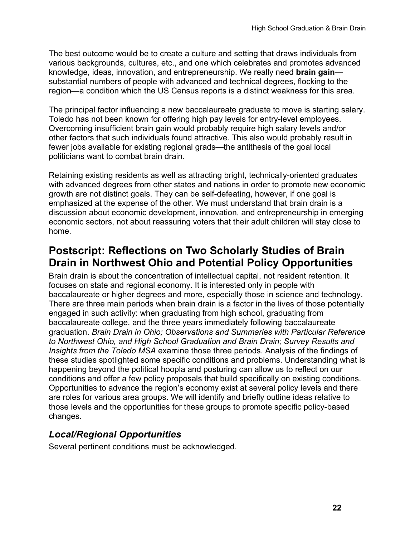The best outcome would be to create a culture and setting that draws individuals from various backgrounds, cultures, etc., and one which celebrates and promotes advanced knowledge, ideas, innovation, and entrepreneurship. We really need **brain gain** substantial numbers of people with advanced and technical degrees, flocking to the region—a condition which the US Census reports is a distinct weakness for this area.

The principal factor influencing a new baccalaureate graduate to move is starting salary. Toledo has not been known for offering high pay levels for entry-level employees. Overcoming insufficient brain gain would probably require high salary levels and/or other factors that such individuals found attractive. This also would probably result in fewer jobs available for existing regional grads—the antithesis of the goal local politicians want to combat brain drain.

Retaining existing residents as well as attracting bright, technically-oriented graduates with advanced degrees from other states and nations in order to promote new economic growth are not distinct goals. They can be self-defeating, however, if one goal is emphasized at the expense of the other. We must understand that brain drain is a discussion about economic development, innovation, and entrepreneurship in emerging economic sectors, not about reassuring voters that their adult children will stay close to home.

## **Postscript: Reflections on Two Scholarly Studies of Brain Drain in Northwest Ohio and Potential Policy Opportunities**

Brain drain is about the concentration of intellectual capital, not resident retention. It focuses on state and regional economy. It is interested only in people with baccalaureate or higher degrees and more, especially those in science and technology. There are three main periods when brain drain is a factor in the lives of those potentially engaged in such activity: when graduating from high school, graduating from baccalaureate college, and the three years immediately following baccalaureate graduation. *Brain Drain in Ohio; Observations and Summaries with Particular Reference to Northwest Ohio, and High School Graduation and Brain Drain; Survey Results and Insights from the Toledo MSA* examine those three periods. Analysis of the findings of these studies spotlighted some specific conditions and problems. Understanding what is happening beyond the political hoopla and posturing can allow us to reflect on our conditions and offer a few policy proposals that build specifically on existing conditions. Opportunities to advance the region's economy exist at several policy levels and there are roles for various area groups. We will identify and briefly outline ideas relative to those levels and the opportunities for these groups to promote specific policy-based changes.

### *Local/Regional Opportunities*

Several pertinent conditions must be acknowledged.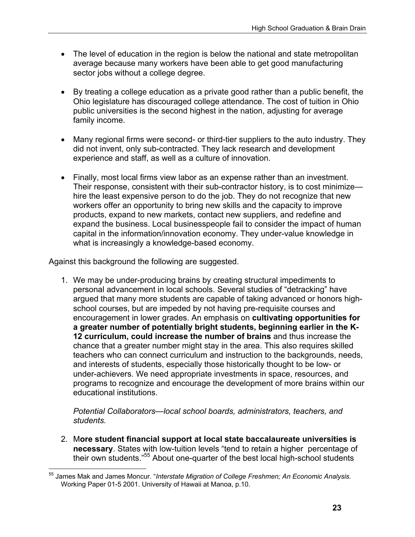- The level of education in the region is below the national and state metropolitan average because many workers have been able to get good manufacturing sector jobs without a college degree.
- By treating a college education as a private good rather than a public benefit, the Ohio legislature has discouraged college attendance. The cost of tuition in Ohio public universities is the second highest in the nation, adjusting for average family income.
- Many regional firms were second- or third-tier suppliers to the auto industry. They did not invent, only sub-contracted. They lack research and development experience and staff, as well as a culture of innovation.
- Finally, most local firms view labor as an expense rather than an investment. Their response, consistent with their sub-contractor history, is to cost minimize hire the least expensive person to do the job. They do not recognize that new workers offer an opportunity to bring new skills and the capacity to improve products, expand to new markets, contact new suppliers, and redefine and expand the business. Local businesspeople fail to consider the impact of human capital in the information/innovation economy. They under-value knowledge in what is increasingly a knowledge-based economy.

Against this background the following are suggested.

 $\overline{a}$ 

1. We may be under-producing brains by creating structural impediments to personal advancement in local schools. Several studies of "detracking" have argued that many more students are capable of taking advanced or honors highschool courses, but are impeded by not having pre-requisite courses and encouragement in lower grades. An emphasis on **cultivating opportunities for a greater number of potentially bright students, beginning earlier in the K-12 curriculum, could increase the number of brains** and thus increase the chance that a greater number might stay in the area. This also requires skilled teachers who can connect curriculum and instruction to the backgrounds, needs, and interests of students, especially those historically thought to be low- or under-achievers. We need appropriate investments in space, resources, and programs to recognize and encourage the development of more brains within our educational institutions.

*Potential Collaborators—local school boards, administrators, teachers, and students.*

2. M**ore student financial support at local state baccalaureate universities is necessary**. States with low-tuition levels "tend to retain a higher percentage of their own students."55 About one-quarter of the best local high-school students

<sup>&</sup>lt;sup>55</sup> James Mak and James Moncur. "*Interstate Migration of College Freshmen; An Economic Analysis.* Working Paper 01-5 2001. University of Hawaii at Manoa, p.10.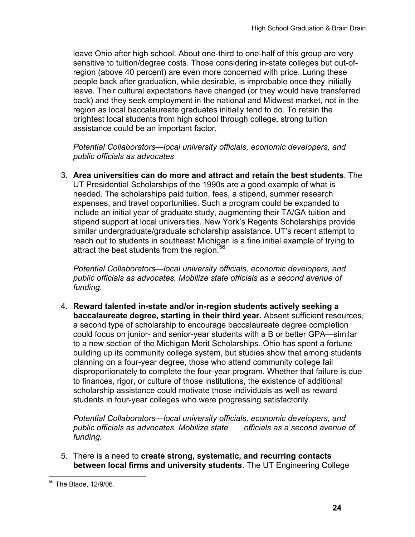leave Ohio after high school. About one-third to one-half of this group are very sensitive to tuition/degree costs. Those considering in-state colleges but out-ofregion (above 40 percent) are even more concerned with price. Luring these people back after graduation, while desirable, is improbable once they initially leave. Their cultural expectations have changed (or they would have transferred back) and they seek employment in the national and Midwest market, not in the region as local baccalaureate graduates initially tend to do. To retain the brightest local students from high school through college, strong tuition assistance could be an important factor.

*Potential Collaborators—local university officials, economic developers, and public officials as advocates* 

3. **Area universities can do more and attract and retain the best students**. The UT Presidential Scholarships of the 1990s are a good example of what is needed. The scholarships paid tuition, fees, a stipend, summer research expenses, and travel opportunities. Such a program could be expanded to include an initial year of graduate study, augmenting their TA/GA tuition and stipend support at local universities. New York's Regents Scholarships provide similar undergraduate/graduate scholarship assistance. UT's recent attempt to reach out to students in southeast Michigan is a fine initial example of trying to attract the best students from the region.<sup>56</sup>

*Potential Collaborators—local university officials, economic developers, and public officials as advocates. Mobilize state officials as a second avenue of funding.* 

4. **Reward talented in-state and/or in-region students actively seeking a baccalaureate degree, starting in their third year.** Absent sufficient resources, a second type of scholarship to encourage baccalaureate degree completion could focus on junior- and senior-year students with a B or better GPA—similar to a new section of the Michigan Merit Scholarships. Ohio has spent a fortune building up its community college system, but studies show that among students planning on a four-year degree, those who attend community college fail disproportionately to complete the four-year program. Whether that failure is due to finances, rigor, or culture of those institutions, the existence of additional scholarship assistance could motivate those individuals as well as reward students in four-year colleges who were progressing satisfactorily.

*Potential Collaborators—local university officials, economic developers, and public officials as advocates. Mobilize state officials as a second avenue of funding.* 

5. There is a need to **create strong, systematic, and recurring contacts between local firms and university students**. The UT Engineering College

 $\overline{a}$ <sup>56</sup> The Blade, 12/9/06.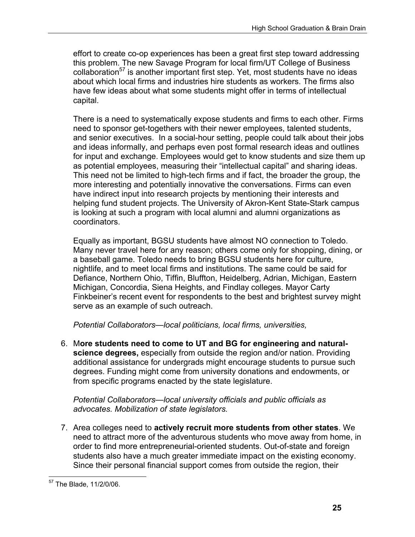effort to create co-op experiences has been a great first step toward addressing this problem. The new Savage Program for local firm/UT College of Business collaboration<sup>57</sup> is another important first step. Yet, most students have no ideas about which local firms and industries hire students as workers. The firms also have few ideas about what some students might offer in terms of intellectual capital.

There is a need to systematically expose students and firms to each other. Firms need to sponsor get-togethers with their newer employees, talented students, and senior executives. In a social-hour setting, people could talk about their jobs and ideas informally, and perhaps even post formal research ideas and outlines for input and exchange. Employees would get to know students and size them up as potential employees, measuring their "intellectual capital" and sharing ideas. This need not be limited to high-tech firms and if fact, the broader the group, the more interesting and potentially innovative the conversations. Firms can even have indirect input into research projects by mentioning their interests and helping fund student projects. The University of Akron-Kent State-Stark campus is looking at such a program with local alumni and alumni organizations as coordinators.

Equally as important, BGSU students have almost NO connection to Toledo. Many never travel here for any reason; others come only for shopping, dining, or a baseball game. Toledo needs to bring BGSU students here for culture, nightlife, and to meet local firms and institutions. The same could be said for Defiance, Northern Ohio, Tiffin, Bluffton, Heidelberg, Adrian, Michigan, Eastern Michigan, Concordia, Siena Heights, and Findlay colleges. Mayor Carty Finkbeiner's recent event for respondents to the best and brightest survey might serve as an example of such outreach.

*Potential Collaborators—local politicians, local firms, universities,* 

6. M**ore students need to come to UT and BG for engineering and naturalscience degrees,** especially from outside the region and/or nation. Providing additional assistance for undergrads might encourage students to pursue such degrees. Funding might come from university donations and endowments, or from specific programs enacted by the state legislature.

*Potential Collaborators—local university officials and public officials as advocates. Mobilization of state legislators.* 

7. Area colleges need to **actively recruit more students from other states**. We need to attract more of the adventurous students who move away from home, in order to find more entrepreneurial-oriented students. Out-of-state and foreign students also have a much greater immediate impact on the existing economy. Since their personal financial support comes from outside the region, their

 $\overline{a}$ <sup>57</sup> The Blade, 11/2/0/06.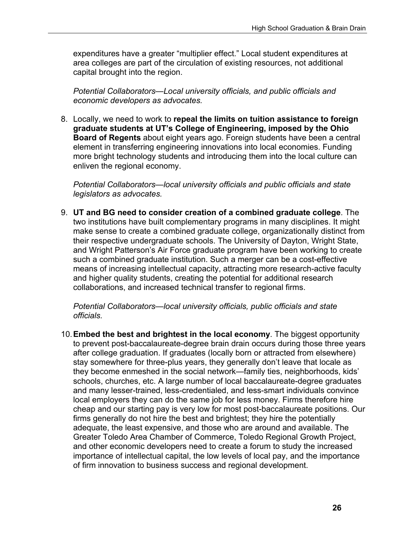expenditures have a greater "multiplier effect." Local student expenditures at area colleges are part of the circulation of existing resources, not additional capital brought into the region.

*Potential Collaborators—Local university officials, and public officials and economic developers as advocates.* 

8. Locally, we need to work to **repeal the limits on tuition assistance to foreign graduate students at UT's College of Engineering, imposed by the Ohio Board of Regents** about eight years ago. Foreign students have been a central element in transferring engineering innovations into local economies. Funding more bright technology students and introducing them into the local culture can enliven the regional economy.

*Potential Collaborators—local university officials and public officials and state legislators as advocates.* 

9. **UT and BG need to consider creation of a combined graduate college**. The two institutions have built complementary programs in many disciplines. It might make sense to create a combined graduate college, organizationally distinct from their respective undergraduate schools. The University of Dayton, Wright State, and Wright Patterson's Air Force graduate program have been working to create such a combined graduate institution. Such a merger can be a cost-effective means of increasing intellectual capacity, attracting more research-active faculty and higher quality students, creating the potential for additional research collaborations, and increased technical transfer to regional firms.

*Potential Collaborators—local university officials, public officials and state officials.* 

10. **Embed the best and brightest in the local economy**. The biggest opportunity to prevent post-baccalaureate-degree brain drain occurs during those three years after college graduation. If graduates (locally born or attracted from elsewhere) stay somewhere for three-plus years, they generally don't leave that locale as they become enmeshed in the social network—family ties, neighborhoods, kids' schools, churches, etc. A large number of local baccalaureate-degree graduates and many lesser-trained, less-credentialed, and less-smart individuals convince local employers they can do the same job for less money. Firms therefore hire cheap and our starting pay is very low for most post-baccalaureate positions. Our firms generally do not hire the best and brightest; they hire the potentially adequate, the least expensive, and those who are around and available. The Greater Toledo Area Chamber of Commerce, Toledo Regional Growth Project, and other economic developers need to create a forum to study the increased importance of intellectual capital, the low levels of local pay, and the importance of firm innovation to business success and regional development.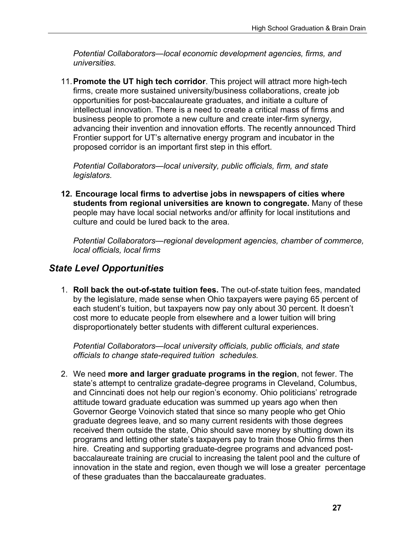*Potential Collaborators—local economic development agencies, firms, and universities.* 

11. **Promote the UT high tech corridor**. This project will attract more high-tech firms, create more sustained university/business collaborations, create job opportunities for post-baccalaureate graduates, and initiate a culture of intellectual innovation. There is a need to create a critical mass of firms and business people to promote a new culture and create inter-firm synergy, advancing their invention and innovation efforts. The recently announced Third Frontier support for UT's alternative energy program and incubator in the proposed corridor is an important first step in this effort.

*Potential Collaborators—local university, public officials, firm, and state legislators.* 

**12. Encourage local firms to advertise jobs in newspapers of cities where students from regional universities are known to congregate.** Many of these people may have local social networks and/or affinity for local institutions and culture and could be lured back to the area.

*Potential Collaborators—regional development agencies, chamber of commerce, local officials, local firms* 

### *State Level Opportunities*

1. **Roll back the out-of-state tuition fees.** The out-of-state tuition fees, mandated by the legislature, made sense when Ohio taxpayers were paying 65 percent of each student's tuition, but taxpayers now pay only about 30 percent. It doesn't cost more to educate people from elsewhere and a lower tuition will bring disproportionately better students with different cultural experiences.

*Potential Collaborators—local university officials, public officials, and state officials to change state-required tuition schedules.* 

2. We need **more and larger graduate programs in the region**, not fewer. The state's attempt to centralize gradate-degree programs in Cleveland, Columbus, and Cinncinati does not help our region's economy. Ohio politicians' retrograde attitude toward graduate education was summed up years ago when then Governor George Voinovich stated that since so many people who get Ohio graduate degrees leave, and so many current residents with those degrees received them outside the state, Ohio should save money by shutting down its programs and letting other state's taxpayers pay to train those Ohio firms then hire. Creating and supporting graduate-degree programs and advanced postbaccalaureate training are crucial to increasing the talent pool and the culture of innovation in the state and region, even though we will lose a greater percentage of these graduates than the baccalaureate graduates.